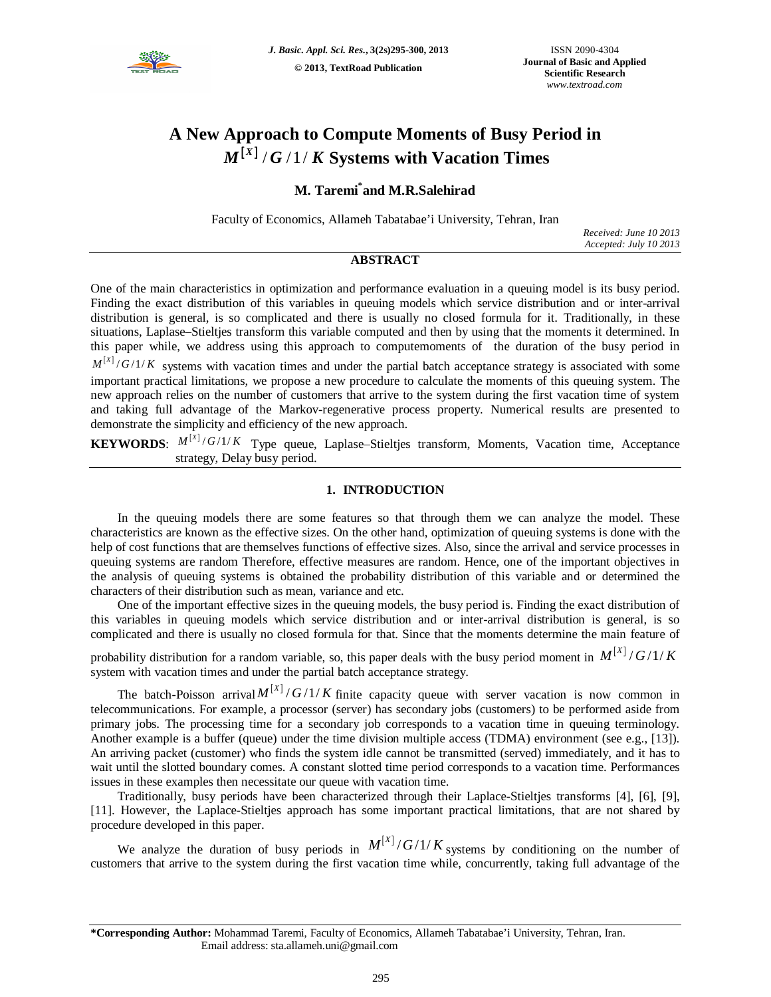

# **A New Approach to Compute Moments of Busy Period in**   $M^{[X]}/G$  /1/K Systems with Vacation Times

## **M. Taremi\* and M.R.Salehirad**

Faculty of Economics, Allameh Tabatabae'i University, Tehran, Iran

*Received: June 10 2013 Accepted: July 10 2013*

### **ABSTRACT**

One of the main characteristics in optimization and performance evaluation in a queuing model is its busy period. Finding the exact distribution of this variables in queuing models which service distribution and or inter-arrival distribution is general, is so complicated and there is usually no closed formula for it. Traditionally, in these situations, Laplase–Stieltjes transform this variable computed and then by using that the moments it determined. In this paper while, we address using this approach to computemoments of the duration of the busy period in  $M^{[X]}/G/1/K$  systems with vacation times and under the partial batch acceptance strategy is associated with some

important practical limitations, we propose a new procedure to calculate the moments of this queuing system. The new approach relies on the number of customers that arrive to the system during the first vacation time of system and taking full advantage of the Markov-regenerative process property. Numerical results are presented to demonstrate the simplicity and efficiency of the new approach.

**KEYWORDS**:  $M^{[X]}/G/1/K$  Type queue, Laplase–Stieltjes transform, Moments, Vacation time, Acceptance strategy, Delay busy period.

#### **1. INTRODUCTION**

In the queuing models there are some features so that through them we can analyze the model. These characteristics are known as the effective sizes. On the other hand, optimization of queuing systems is done with the help of cost functions that are themselves functions of effective sizes. Also, since the arrival and service processes in queuing systems are random Therefore, effective measures are random. Hence, one of the important objectives in the analysis of queuing systems is obtained the probability distribution of this variable and or determined the characters of their distribution such as mean, variance and etc.

One of the important effective sizes in the queuing models, the busy period is. Finding the exact distribution of this variables in queuing models which service distribution and or inter-arrival distribution is general, is so complicated and there is usually no closed formula for that. Since that the moments determine the main feature of

probability distribution for a random variable, so, this paper deals with the busy period moment in  $M^{[X]}/G/1/K$ system with vacation times and under the partial batch acceptance strategy.

The batch-Poisson arrival  $M^{[X]}/G/1/K$  finite capacity queue with server vacation is now common in telecommunications. For example, a processor (server) has secondary jobs (customers) to be performed aside from primary jobs. The processing time for a secondary job corresponds to a vacation time in queuing terminology. Another example is a buffer (queue) under the time division multiple access (TDMA) environment (see e.g., [13]). An arriving packet (customer) who finds the system idle cannot be transmitted (served) immediately, and it has to wait until the slotted boundary comes. A constant slotted time period corresponds to a vacation time. Performances issues in these examples then necessitate our queue with vacation time.

Traditionally, busy periods have been characterized through their Laplace-Stieltjes transforms [4], [6], [9], [11]. However, the Laplace-Stieltjes approach has some important practical limitations, that are not shared by procedure developed in this paper.

We analyze the duration of busy periods in  $M^{[X]}/G/1/K$  systems by conditioning on the number of customers that arrive to the system during the first vacation time while, concurrently, taking full advantage of the

**<sup>\*</sup>Corresponding Author:** Mohammad Taremi, Faculty of Economics, Allameh Tabatabae'i University, Tehran, Iran. Email address: sta.allameh.uni@gmail.com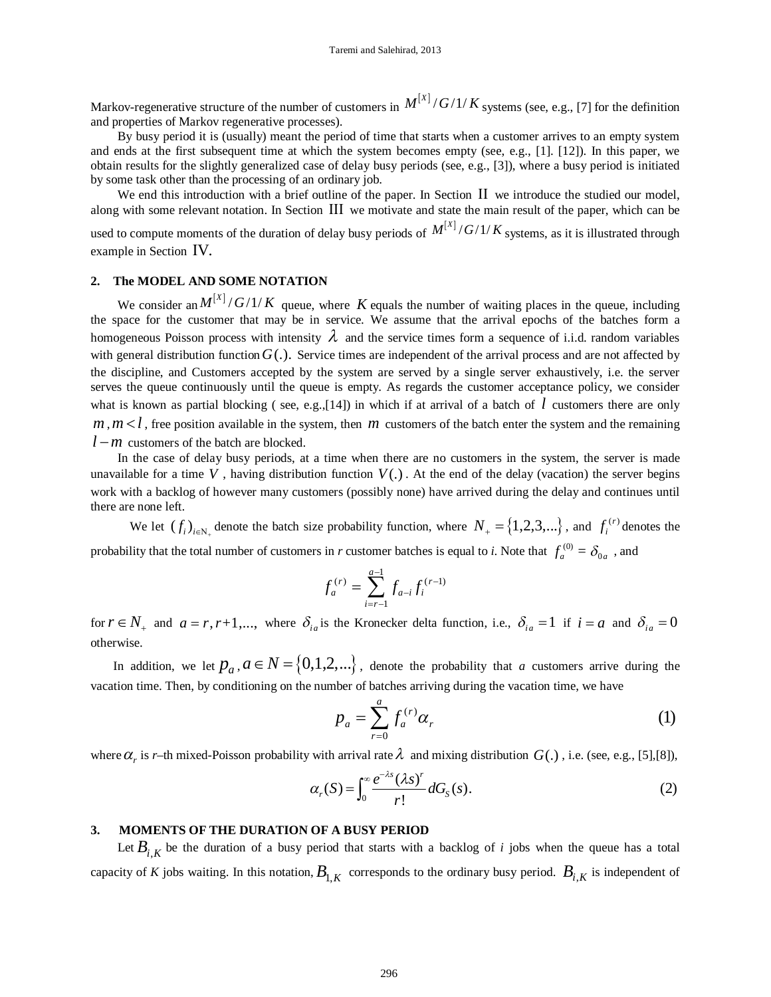Markov-regenerative structure of the number of customers in  $M^{[X]}/G/1/K$  systems (see, e.g., [7] for the definition and properties of Markov regenerative processes).

By busy period it is (usually) meant the period of time that starts when a customer arrives to an empty system and ends at the first subsequent time at which the system becomes empty (see, e.g., [1]. [12]). In this paper, we obtain results for the slightly generalized case of delay busy periods (see, e.g., [3]), where a busy period is initiated by some task other than the processing of an ordinary job.

We end this introduction with a brief outline of the paper. In Section  $II$  we introduce the studied our model, along with some relevant notation. In Section III we motivate and state the main result of the paper, which can be used to compute moments of the duration of delay busy periods of  $M^{[X]}/G/1/K$  systems, as it is illustrated through example in Section IV.

#### **2. The MODEL AND SOME NOTATION**

We consider an  $M^{[X]}/G/1/K$  queue, where K equals the number of waiting places in the queue, including the space for the customer that may be in service. We assume that the arrival epochs of the batches form a homogeneous Poisson process with intensity  $\lambda$  and the service times form a sequence of i.i.d. random variables with general distribution function  $G(.)$ . Service times are independent of the arrival process and are not affected by the discipline, and Customers accepted by the system are served by a single server exhaustively, i.e. the server serves the queue continuously until the queue is empty. As regards the customer acceptance policy, we consider what is known as partial blocking (see, e.g.,[14]) in which if at arrival of a batch of *l* customers there are only  $m, m < l$ , free position available in the system, then *m* customers of the batch enter the system and the remaining  $l - m$  customers of the batch are blocked.

In the case of delay busy periods, at a time when there are no customers in the system, the server is made unavailable for a time V, having distribution function  $V(.)$ . At the end of the delay (vacation) the server begins work with a backlog of however many customers (possibly none) have arrived during the delay and continues until there are none left.

We let  $(f_i)_{i \in N_+}$  denote the batch size probability function, where  $N_+ = \{1, 2, 3, ...\}$ , and  $f_i^{(r)}$  denotes the probability that the total number of customers in *r* customer batches is equal to *i*. Note that  $f_a^{(0)} = \delta_{0a}$ , and

$$
f_a^{(r)} = \sum_{i=r-1}^{a-1} f_{a-i} f_i^{(r-1)}
$$

for  $r \in N_+$  and  $a = r, r+1,...$ , where  $\delta_{ia}$  is the Kronecker delta function, i.e.,  $\delta_{ia} = 1$  if  $i = a$  and  $\delta_{ia} = 0$ otherwise.

In addition, we let  $p_a$ ,  $a \in N = \{0,1,2,...\}$ , denote the probability that *a* customers arrive during the vacation time. Then, by conditioning on the number of batches arriving during the vacation time, we have

$$
p_a = \sum_{r=0}^{a} f_a^{(r)} \alpha_r \tag{1}
$$

where  $\alpha_r$  is *r*–th mixed-Poisson probability with arrival rate  $\lambda$  and mixing distribution  $G(.)$  , i.e. (see, e.g., [5],[8]),

$$
\alpha_r(S) = \int_0^\infty \frac{e^{-\lambda s} (\lambda s)^r}{r!} dG_s(s).
$$
 (2)

#### **3. MOMENTS OF THE DURATION OF A BUSY PERIOD**

Let  $B_{i,K}$  be the duration of a busy period that starts with a backlog of *i* jobs when the queue has a total capacity of *K* jobs waiting. In this notation,  $B_{1,K}$  corresponds to the ordinary busy period.  $B_{i,K}$  is independent of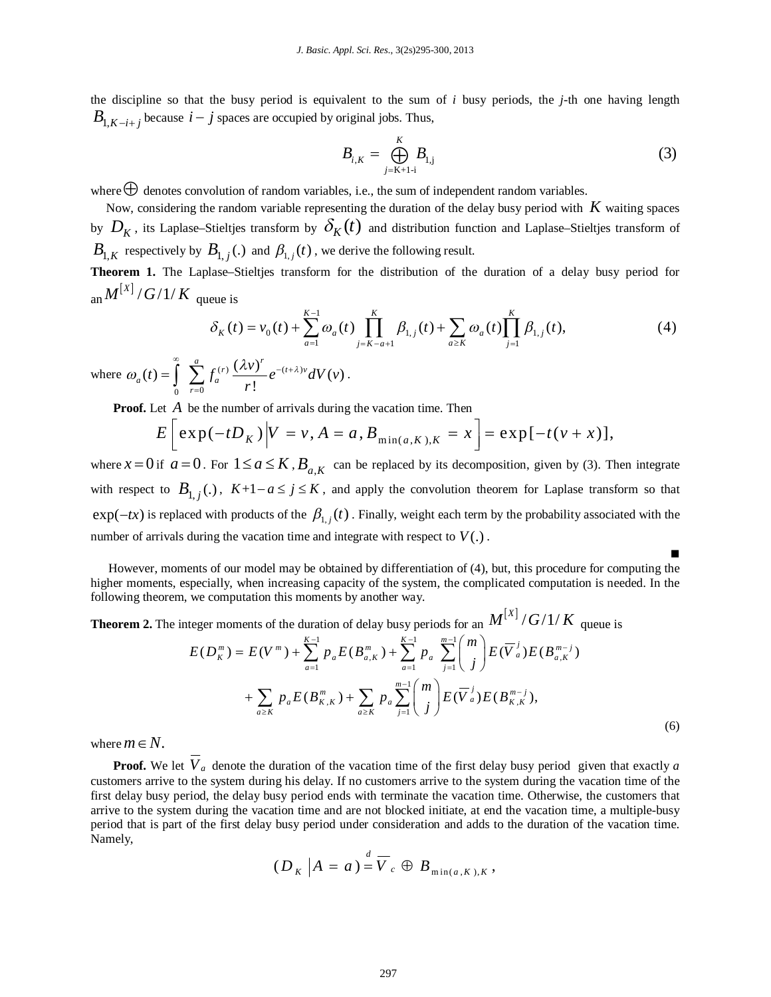the discipline so that the busy period is equivalent to the sum of *i* busy periods, the *j*-th one having length  $B_{1,K-i+1}$  because  $i-j$  spaces are occupied by original jobs. Thus,

$$
B_{i,K} = \bigoplus_{j=K+1-i}^{K} B_{1,j} \tag{3}
$$

Ξ

where  $\bigoplus$  denotes convolution of random variables, i.e., the sum of independent random variables.

 Now, considering the random variable representing the duration of the delay busy period with *K* waiting spaces by  $D_K$ , its Laplase–Stieltjes transform by  $\delta_K(t)$  and distribution function and Laplase–Stieltjes transform of  $B_{1,K}$  respectively by  $B_{1,j}(.)$  and  $\beta_{1,j}(t)$ , we derive the following result.

**Theorem 1.** The Laplase–Stieltjes transform for the distribution of the duration of a delay busy period for an  $M^{[X]}/G/1/K$  queue is

$$
\delta_K(t) = v_0(t) + \sum_{a=1}^{K-1} \omega_a(t) \prod_{j=K-a+1}^K \beta_{1,j}(t) + \sum_{a \ge K} \omega_a(t) \prod_{j=1}^K \beta_{1,j}(t),\tag{4}
$$

where  $\omega_a(t) = \int \sum f_a^{(r)} \frac{(\lambda V)}{r} e^{-(t+\lambda)v}$  $0 \t r=0$  $g(t) = \int_0^\infty \sum_{r=0}^a f_q^{(r)} \frac{(\lambda v)^r}{r} e^{-(t+\lambda)v} dV(v)$ . !  $\sum_{r=0}^{a} f(r) \left(\lambda v\right)^{r} e^{-\left(t+\lambda\right)v}$  $a^{(i)}$  |  $\angle$   $a^{i}$ *r*  $t = \int_{0}^{\infty} \sum_{r=0}^{a} f_{a}^{(r)} \frac{(\lambda v)^{r}}{r} e^{-(t+\lambda)v} dV(v)$ *r* ω (t) =  $\int_0^{\infty}$   $\sum_1^{a} f^{(r)} \frac{(\lambda v)^r}{(t^2 + \lambda^2)} e^{-(t + \lambda^2)}$  $-(t + \lambda)$  $= \int_{0}^{\infty} \sum_{r=0}^{N} f_a^{(r)} \frac{(\lambda V)}{r!} e^{-(t+\lambda)v} dV(v) \, .$ 

**Proof.** Let *A* be the number of arrivals during the vacation time. Then

$$
E\left[\exp(-tD_K)\middle|V=v,A=a,B_{\min(a,K),K}=x\right]=\exp[-t(v+x)],
$$

where  $x = 0$  if  $a = 0$ . For  $1 \le a \le K$ ,  $B_{a,K}$  can be replaced by its decomposition, given by (3). Then integrate with respect to  $B_{1,j}(\cdot)$ ,  $K+1-a \le j \le K$ , and apply the convolution theorem for Laplase transform so that  $\exp(-tx)$  is replaced with products of the  $\beta_{1,i}(t)$ . Finally, weight each term by the probability associated with the number of arrivals during the vacation time and integrate with respect to  $V(.)$ .

However, moments of our model may be obtained by differentiation of (4), but, this procedure for computing the higher moments, especially, when increasing capacity of the system, the complicated computation is needed. In the following theorem, we computation this moments by another way.

**Theorem 2.** The integer moments of the duration of delay busy periods for an  $M^{[X]}/G/1/K$  queue is

$$
E(D_K^m) = E(V^m) + \sum_{a=1}^{K-1} p_a E(B_{a,K}^m) + \sum_{a=1}^{K-1} p_a \sum_{j=1}^{m-1} {m \choose j} E(\overline{V}_a^j) E(B_{a,K}^{m-j}) + \sum_{a \ge K} p_a E(B_{K,K}^m) + \sum_{a \ge K} p_a \sum_{j=1}^{m-1} {m \choose j} E(\overline{V}_a^j) E(B_{K,K}^{m-j}), \tag{6}
$$

where  $m \in N$ .

**Proof.** We let  $\overline{V}_a$  denote the duration of the vacation time of the first delay busy period given that exactly *a* customers arrive to the system during his delay. If no customers arrive to the system during the vacation time of the first delay busy period, the delay busy period ends with terminate the vacation time. Otherwise, the customers that arrive to the system during the vacation time and are not blocked initiate, at end the vacation time, a multiple-busy period that is part of the first delay busy period under consideration and adds to the duration of the vacation time. Namely,

$$
(D_K | A = a) = \overline{V}_c \oplus B_{\min(a,K),K},
$$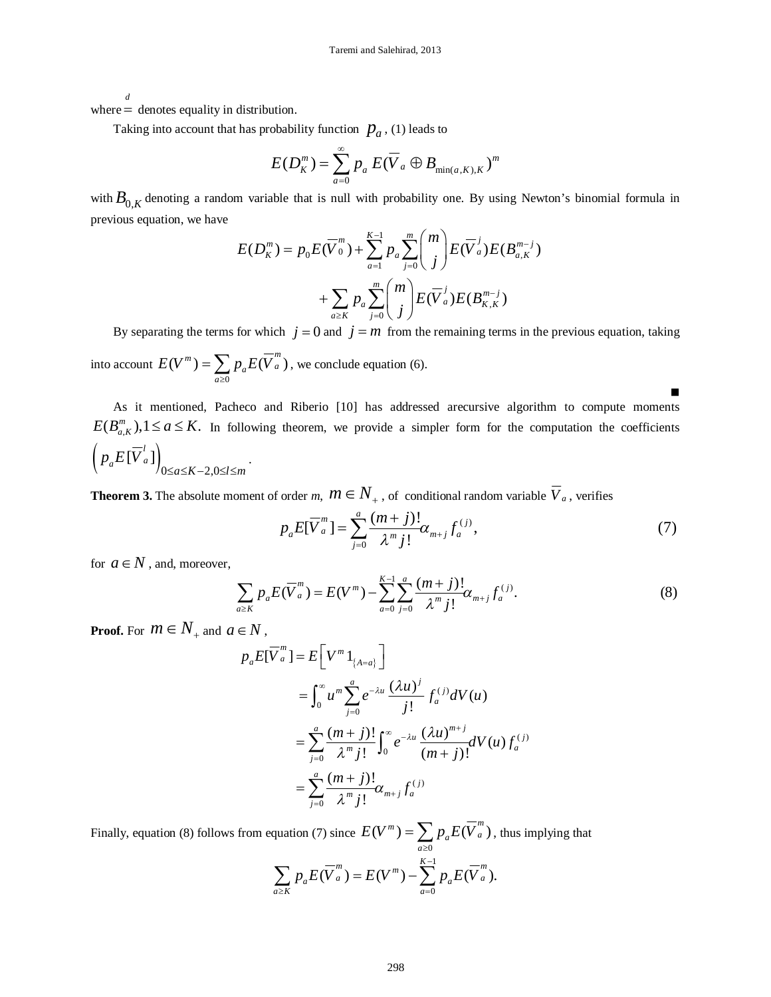*d*

where = denotes equality in distribution.

Taking into account that has probability function  $p_a$ , (1) leads to

$$
E(D_K^m) = \sum_{a=0}^{\infty} p_a E(\overline{V}_a \oplus B_{\min(a,K),K})^m
$$

with  $B_{0,K}$  denoting a random variable that is null with probability one. By using Newton's binomial formula in previous equation, we have

$$
E(D_K^m) = p_0 E(\overline{V}_0^m) + \sum_{a=1}^{K-1} p_a \sum_{j=0}^m {m \choose j} E(\overline{V}_a^j) E(B_{a,K}^{m-j}) + \sum_{a \ge K} p_a \sum_{j=0}^m {m \choose j} E(\overline{V}_a^j) E(B_{K,K}^{m-j})
$$

By separating the terms for which  $j = 0$  and  $j = m$  from the remaining terms in the previous equation, taking into account 0  $(V^m) = \sum p_a E(\overline{V}_a^m)$ , *a a a*  $E(V^m) = \sum p_a E(V)$  $=\sum_{a\geq 0}p_aE(\overline{V}_a^m)$ , we conclude equation (6).

As it mentioned, Pacheco and Riberio [10] has addressed arecursive algorithm to compute moments  $E(B_{a,K}^m)$ ,  $1 \le a \le K$ . In following theorem, we provide a simpler form for the computation the coefficients  $\left( p_a E[\overline{V}_a^l] \right)_{0 \le a \le K-2,0}$  $a^{L[V a]}$ <sub>0 $\le a \le K-2, 0 \le l \le m$ </sub>  $p_a E[V]$  $\leq a \leq K-2, 0 \leq l \leq n$ .

**Theorem 3.** The absolute moment of order *m*,  $m \in N_+$  , of conditional random variable  $\overline{V}_a$  , verifies

$$
p_a E[\overline{V}_a^m] = \sum_{j=0}^a \frac{(m+j)!}{\lambda^m j!} \alpha_{m+j} f_a^{(j)}, \tag{7}
$$

 $\blacksquare$ 

for  $a \in N$ , and, moreover,

$$
\sum_{a \geq K} p_a E(\overline{V}_a^m) = E(V^m) - \sum_{a=0}^{K-1} \sum_{j=0}^a \frac{(m+j)!}{\lambda^m j!} \alpha_{m+j} f_a^{(j)}.
$$
 (8)

**Proof.** For  $m \in N_+$  and  $a \in N$ ,

$$
p_{a}E[\overline{V}_{a}^{m}] = E\left[V^{m}1_{\{A=a\}}\right]
$$
  
\n
$$
= \int_{0}^{\infty} u^{m} \sum_{j=0}^{a} e^{-\lambda u} \frac{(\lambda u)^{j}}{j!} f_{a}^{(j)} dV(u)
$$
  
\n
$$
= \sum_{j=0}^{a} \frac{(m+j)!}{\lambda^{m} j!} \int_{0}^{\infty} e^{-\lambda u} \frac{(\lambda u)^{m+j}}{(m+j)!} dV(u) f_{a}^{(j)}
$$
  
\n
$$
= \sum_{j=0}^{a} \frac{(m+j)!}{\lambda^{m} j!} \alpha_{m+j} f_{a}^{(j)}
$$

Finally, equation (8) follows from equation (7) since  $\boldsymbol{0}$  $(V^m) = \sum p_a E(\overline{V}_a^m)$ , *a a a*  $E(V^m) = \sum p_a E(V)$  $=\sum_{a\geq 0}p_aE(\overline{V}_a^m)$ , thus implying that

$$
\sum_{a\geq K}p_aE(\overline{V}_a^m)=E(V^m)-\sum_{a=0}^{K-1}p_aE(\overline{V}_a^m).
$$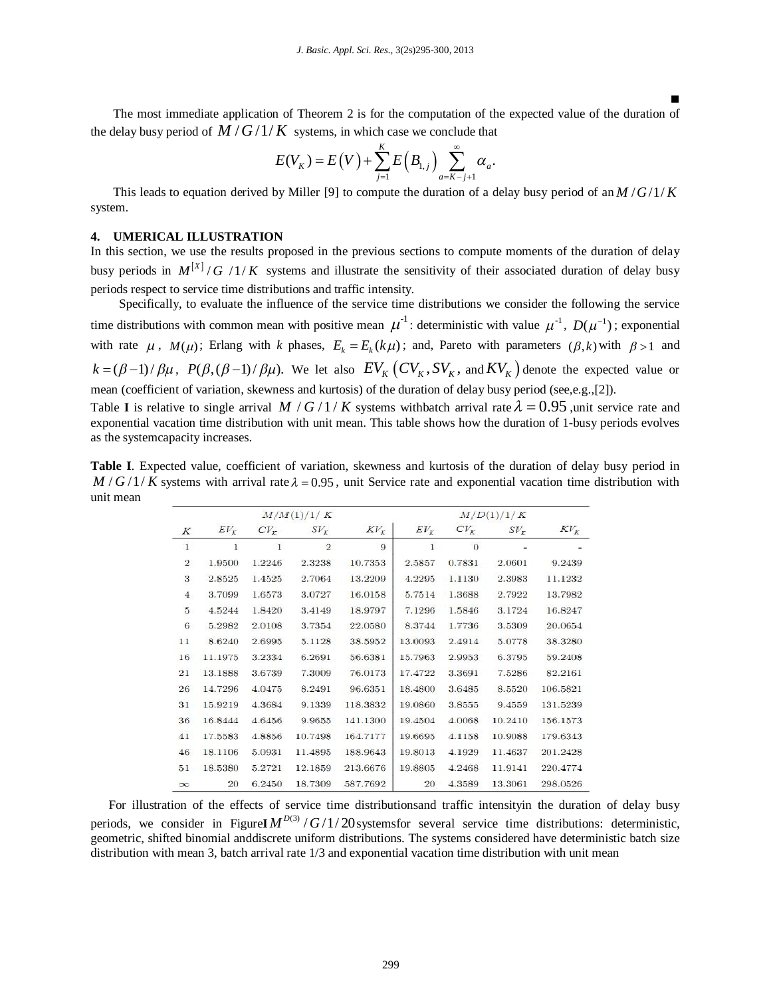The most immediate application of Theorem 2 is for the computation of the expected value of the duration of the delay busy period of  $M/G/1/K$  systems, in which case we conclude that

Ξ

$$
E(V_K) = E(V) + \sum_{j=1}^{K} E(B_{1,j}) \sum_{a=K-j+1}^{\infty} \alpha_a.
$$

This leads to equation derived by Miller [9] to compute the duration of a delay busy period of an  $M/G/1/K$ system.

#### **4. UMERICAL ILLUSTRATION**

In this section, we use the results proposed in the previous sections to compute moments of the duration of delay busy periods in  $M^{[X]}/G$  /1/K systems and illustrate the sensitivity of their associated duration of delay busy periods respect to service time distributions and traffic intensity.

Specifically, to evaluate the influence of the service time distributions we consider the following the service time distributions with common mean with positive mean  $\mu^{-1}$ : deterministic with value  $\mu^{-1}$ ,  $D(\mu^{-1})$ ; exponential with rate  $\mu$ ,  $M(\mu)$ ; Erlang with *k* phases,  $E_k = E_k(k\mu)$ ; and, Pareto with parameters  $(\beta, k)$  with  $\beta > 1$  and  $k = (\beta - 1)/\beta\mu$ ,  $P(\beta, (\beta - 1)/\beta\mu)$ . We let also  $EV_K (CV_K, SV_K)$ , and  $KV_K$  denote the expected value or mean (coefficient of variation, skewness and kurtosis) of the duration of delay busy period (see,e.g.,[2]).

Table **I** is relative to single arrival *M (G/1) K* systems with batch arrival rate  $\lambda = 0.95$ , unit service rate and exponential vacation time distribution with unit mean. This table shows how the duration of 1-busy periods evolves as the systemcapacity increases.

**Table I**. Expected value, coefficient of variation, skewness and kurtosis of the duration of delay busy period in  $M/G/1/K$  systems with arrival rate  $\lambda = 0.95$ , unit Service rate and exponential vacation time distribution with unit mean

|                | M/M(1)/1/K |                 |                |          | M/D(1)/1/K |          |         |          |
|----------------|------------|-----------------|----------------|----------|------------|----------|---------|----------|
| Κ              | $EV_{K}$   | CV <sub>r</sub> | $SV_{\kappa}$  | $KV_{K}$ | $EV_{K}$   | $CV_{K}$ | $SV_r$  | $KV_r$   |
| $\mathbf{I}$   | 1          | 1               | $\overline{2}$ | 9        | 1          | $\Omega$ |         |          |
| $\mathbf{2}$   | 1.9500     | 1.2246          | 2.3238         | 10.7353  | 2.5857     | 0.7831   | 2.0601  | 9.2439   |
| 3              | 2.8525     | 1.4525          | 2.7064         | 13.2209  | 4.2295     | 1.1130   | 2.3983  | 11.1232  |
| $\overline{4}$ | 3.7099     | 1.6573          | 3.0727         | 16.0158  | 5.7514     | 1.3688   | 2.7922  | 13.7982  |
| 5              | 4.5244     | 1.8420          | 3.4149         | 18.9797  | 7.1296     | 1.5846   | 3.1724  | 16.8247  |
| 6              | 5.2982     | 2.0108          | 3.7354         | 22.0580  | 8.3744     | 1.7736   | 3.5309  | 20.0654  |
| 11             | 8.6240     | 2.6995          | 5.1128         | 38.5952  | 13.0093    | 2.4914   | 5.0778  | 38.3280  |
| 16             | 11.1975    | 3.2334          | 6.2691         | 56.6381  | 15.7963    | 2.9953   | 6.3795  | 59.2408  |
| 21             | 13.1888    | 3.6739          | 7.3009         | 76.0173  | 17.4722    | 3.3691   | 7.5286  | 82.2161  |
| 26             | 14.7296    | 4.0475          | 8.2491         | 96.6351  | 18.4800    | 3.6485   | 8.5520  | 106.5821 |
| 31             | 15.9219    | 4.3684          | 9.1339         | 118.3832 | 19.0860    | 3.8555   | 9.4559  | 131.5239 |
| 36             | 16.8444    | 4.6456          | 9.9655         | 141.1300 | 19.4504    | 4.0068   | 10.2410 | 156.1573 |
| 41             | 17.5583    | 4.8856          | 10.7498        | 164.7177 | 19.6695    | 4.1158   | 10.9088 | 179.6343 |
| 46             | 18.1106    | 5.0931          | 11.4895        | 188.9643 | 19.8013    | 4.1929   | 11.4637 | 201.2428 |
| 51             | 18.5380    | 5.2721          | 12.1859        | 213.6676 | 19.8805    | 4.2468   | 11.9141 | 220.4774 |
| $\infty$       | 20         | 6.2450          | 18.7309        | 587.7692 | 20         | 4.3589   | 13.3061 | 298.0526 |

For illustration of the effects of service time distributionsand traffic intensityin the duration of delay busy periods, we consider in Figure  $M^{D(3)}/G/1/20$  systems for several service time distributions: deterministic, geometric, shifted binomial anddiscrete uniform distributions. The systems considered have deterministic batch size distribution with mean 3, batch arrival rate 1/3 and exponential vacation time distribution with unit mean